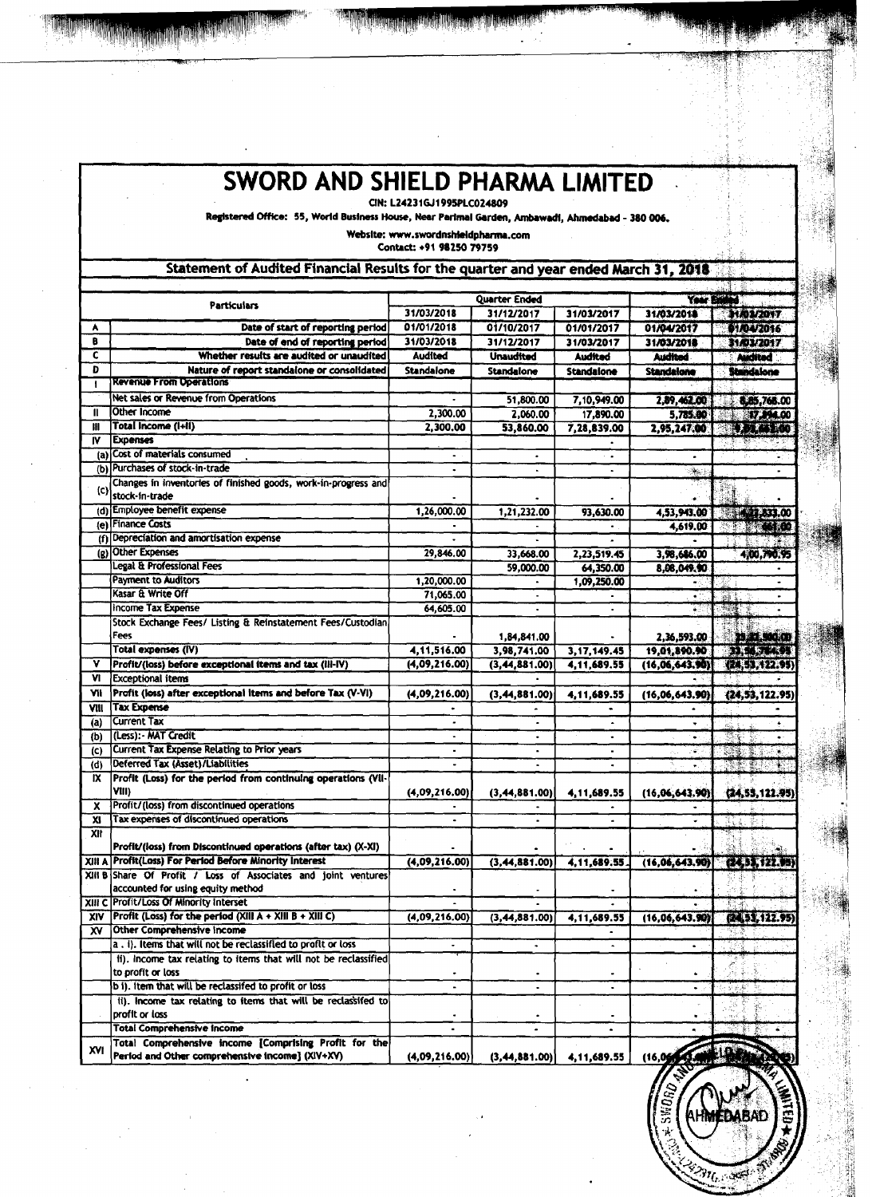|                | SWORD AND SHIELD PHARMA LIMITED                                                                                                                                       |                          |                          |                          |                          |                            |  |
|----------------|-----------------------------------------------------------------------------------------------------------------------------------------------------------------------|--------------------------|--------------------------|--------------------------|--------------------------|----------------------------|--|
|                | CIN: L24231GJ1995PLC024809<br>Registered Office: 55, World Business House, Near Parimal Garden, Ambawadi, Ahmedabad - 380 006.<br>Website: www.swordnshieldpharma.com |                          |                          |                          |                          |                            |  |
|                |                                                                                                                                                                       | Contact: +91 98250 79759 |                          |                          |                          |                            |  |
|                | Statement of Audited Financial Results for the quarter and year ended March 31, 2018                                                                                  |                          |                          |                          |                          |                            |  |
|                | <b>Quarter Ended</b><br><b>Particulars</b>                                                                                                                            |                          |                          |                          |                          | Your Easted                |  |
| A              | Date of start of reporting period                                                                                                                                     | 31/03/2018<br>01/01/2018 | 31/12/2017<br>01/10/2017 | 31/03/2017<br>01/01/2017 | 31/03/2018<br>01/04/2017 | <b>HAWAY</b><br>01/04/2016 |  |
| B              | Date of end of reporting period                                                                                                                                       | 31/03/2018               | 31/12/2017               | 31/03/2017               | 31/03/2018               | 31A03/2017                 |  |
| c              | Whether results are audited or unaudited                                                                                                                              | Audited                  | <b>Unaudited</b>         | Audited                  | Audited                  | <b>Auctited</b>            |  |
| D              | Nature of report standalone or consolidated<br><b>Revenue From Operations</b>                                                                                         | Standalone               | Standalone               | <b>Standalone</b>        | Standalone               | Standalone                 |  |
|                | <b>Net sales or Revenue from Operations</b>                                                                                                                           |                          | 51,800.00                | 7,10,949.00              | 2,89,462.00              | 8,85,768.00                |  |
| $\mathbf{u}$   | Other Income                                                                                                                                                          | 2.300.00                 | 2,060.00                 | 17,890.00                | 5,785.00                 | <b>17,394.00</b>           |  |
| Ш<br>IV        | Total Income (I+II)<br><b>Expenses</b>                                                                                                                                | 2,300.00                 | 53,860.00                | 7,28,839.00              | 2,95,247.00              | <b>PERSTO</b>              |  |
|                | (a) Cost of materials consumed                                                                                                                                        |                          |                          |                          |                          |                            |  |
|                | (b) Purchases of stock-in-trade                                                                                                                                       |                          |                          |                          | 藩 :                      |                            |  |
| (c)            | Changes in inventories of finished goods, work-in-progress and<br>stock-in-trade                                                                                      |                          |                          |                          |                          |                            |  |
|                | (d) Employee benefit expense                                                                                                                                          | 1,26,000.00              | 1,21,232.00              | 93,630.00                | 4,53,943,00              | 421,333.00                 |  |
|                | (e) Finance Costs                                                                                                                                                     |                          |                          |                          | 4,619.00                 | <b>STAND</b>               |  |
|                | (f) Depreciation and amortisation expense                                                                                                                             |                          |                          |                          |                          |                            |  |
|                | (g) Other Expenses<br><b>Legal &amp; Professional Fees</b>                                                                                                            | 29,846.00                | 33,668.00                | 2,23,519.45              | 3,98,686.00              | 4.00.790.95                |  |
|                | <b>Payment to Auditors</b>                                                                                                                                            | 1,20,000.00              | 59,000.00                | 64,350.00<br>1,09,250.00 | 8,08,049.90              |                            |  |
|                | Kasar & Write Off                                                                                                                                                     | 71,065.00                | $\blacksquare$           |                          | $\bullet$ $\Gamma$       |                            |  |
|                | <b>Income Tax Expense</b>                                                                                                                                             | 64,605.00                |                          |                          |                          |                            |  |
|                | Stock Exchange Fees/ Listing & Reinstatement Fees/Custodian<br>Fees                                                                                                   |                          | 1,84,841.00              |                          | 2,36,593.00              | 20.00.00                   |  |
|                | Total expenses (IV)                                                                                                                                                   | 4,11,516.00              | 3,98,741.00              | 3, 17, 149. 45           | 19,01,890.90             | ESC SERVEL                 |  |
|                | Profit/(loss) before exceptional items and tax (III-IV)                                                                                                               | (4.09, 216.00)           | (3, 44, 881.00)          | 4.11.689.55              | (16,06,643,90)           | (24, 53, 122, 95)          |  |
| ٧I             | <b>Exceptional items</b><br>Profit (loss) after exceptional items and before Tax (V-VI)                                                                               |                          |                          |                          |                          |                            |  |
| ٧ll<br>VIII    | <b>Tax Expense</b>                                                                                                                                                    | (4,09,216.00)            | (3, 44, 881.00)          | 4,11,689.55              | (16,06,643,90)           | (24, 53, 122, 95)          |  |
| (a)            | Current Tax                                                                                                                                                           | ٠                        | ٠                        |                          | ٠                        | ٠                          |  |
| (b)            | (Less): - MAT Credit                                                                                                                                                  |                          |                          |                          |                          | -33                        |  |
| $\overline{c}$ | Current Tax Expense Relating to Prior years<br>Deferred Tax (Asset)/Liabilities                                                                                       |                          |                          |                          |                          |                            |  |
| (d)<br>IX.     | Profit (Loss) for the period from continuing operations (Vil-                                                                                                         |                          |                          |                          |                          | 359                        |  |
|                | VIII)                                                                                                                                                                 | (4,09,216,00)            | (3, 44, 881.00)          | 4, 11, 689. 55           | (16, 06, 643, 90)        | (24, 53, 122.95)           |  |
| x              | Profit/(loss) from discontinued operations                                                                                                                            |                          |                          |                          |                          |                            |  |
| XI.<br>XII     | Tax expenses of discontinued operations                                                                                                                               |                          |                          |                          |                          | 공이<br>stille i             |  |
|                | Profit/(loss) from Discontinued operations (after tax) (X-XI)                                                                                                         |                          |                          |                          |                          |                            |  |
|                | XIII A Profit(Loss) For Period Before Minority Interest                                                                                                               | (4,09,216.00)            | (3, 44, 881.00)          | 4,11,689.55              | (16, 06, 643, 90)        | (24.33492.15)              |  |
|                | XIII B Share Of Profit / Loss of Associates and joint ventures<br>accounted for using equity method                                                                   |                          |                          |                          |                          |                            |  |
|                | XIII C Profit/Loss Of Minority Interset                                                                                                                               |                          |                          |                          |                          |                            |  |
|                | $X V$ Profit (Loss) for the period (XIII A + XIII B + XIII C)                                                                                                         | (4,09,216.00)            | (3, 44, 881, 00)         | 4,11,689.55              | (16,06,643.90)           | (24, 53, 122.95)           |  |
| X٧             | Other Comprehensive Income<br>a. i). Items that will not be reclassified to profit or loss                                                                            |                          |                          |                          |                          |                            |  |
|                | ii), income tax relating to items that will not be reclassified                                                                                                       | ٠                        | $\bullet$                | $\bullet$                |                          |                            |  |
|                | to profit or loss                                                                                                                                                     |                          |                          |                          |                          |                            |  |
|                | b i). Item that will be reclassifed to profit or loss                                                                                                                 | $\blacksquare$           | ٠                        | ٠                        | $\bullet$                | 家庭戲                        |  |
|                | ii). Income tax relating to items that will be reclassifed to<br>profit or loss                                                                                       |                          |                          |                          |                          |                            |  |
|                | <b>Total Comprehensive Income</b>                                                                                                                                     | $\blacksquare$           |                          |                          |                          |                            |  |
|                | Total Comprehensive income [Comprising Profit for the                                                                                                                 |                          |                          |                          |                          |                            |  |
| XVI            | Period and Other comprehensive income] (XIV+XV)                                                                                                                       | (4,09,216.00)            | (3, 44, 881.00)          | 4,11,689.55              | (16,0)                   |                            |  |

**EDABAD** 注め火 **HŅ** 

 $3n_0$  and

WIED+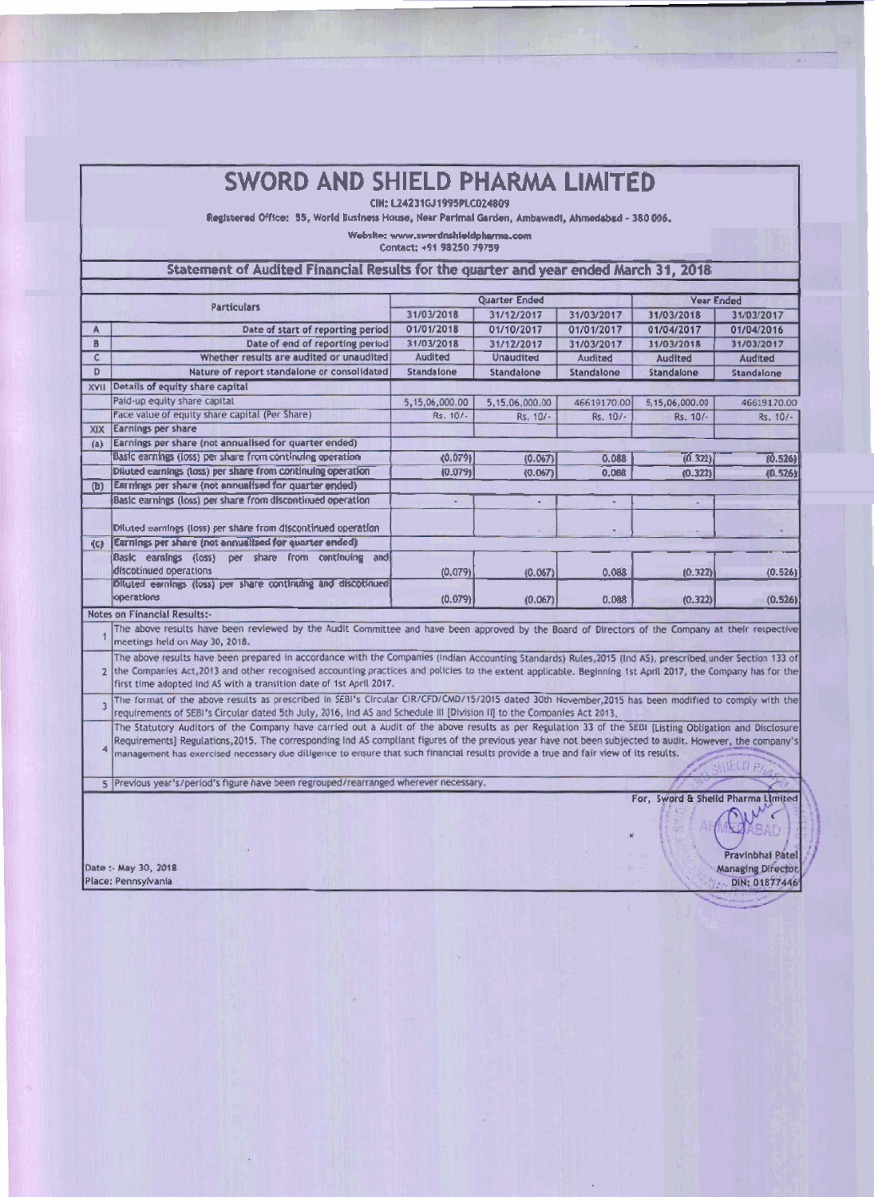## **SWORD AND SHIELD PHARMA LIMITED**

CIN: L24231GJ1995PLC024809

Registered Office: 55, World Business House, Near Parlmal Garden, Ambawadi, Alsmedabad - 380 006.

Website: www.swordnshleidpharma.com

Contact: +91 98250 79759

## Statement of Audited Financial Results for the quarter and year ended March 31, 2018

|                | <b>Particulars</b>                                                                                                                                                                                                                                                                                                                                                                             |                | <b>Quarter Ended</b> | <b>Year Ended</b> |                |             |  |  |
|----------------|------------------------------------------------------------------------------------------------------------------------------------------------------------------------------------------------------------------------------------------------------------------------------------------------------------------------------------------------------------------------------------------------|----------------|----------------------|-------------------|----------------|-------------|--|--|
|                |                                                                                                                                                                                                                                                                                                                                                                                                | 31/03/2018     | 31/12/2017           | 31/03/2017        | 31/03/2018     | 31/03/2017  |  |  |
| A              | Date of start of reporting period                                                                                                                                                                                                                                                                                                                                                              | 01/01/2018     | 01/10/2017           | 01/01/2017        | 01/04/2017     | 01/04/2016  |  |  |
| B              | Date of end of reporting period                                                                                                                                                                                                                                                                                                                                                                | 31/03/2018     | 31/12/2017           | 31/03/2017        | 31/03/2018     | 31/03/2017  |  |  |
| C              | Whether results are audited or unaudited                                                                                                                                                                                                                                                                                                                                                       | <b>Audited</b> | <b>Unaudited</b>     | Audited           | Audited        | Audited     |  |  |
| D              | Nature of report standalone or consolidated                                                                                                                                                                                                                                                                                                                                                    | Standalone     | Standalone           | Standalone        | Standalone     | Standalone  |  |  |
| XVII           | Details of equity share capital                                                                                                                                                                                                                                                                                                                                                                |                |                      |                   |                |             |  |  |
|                | Paid-up equity share capital                                                                                                                                                                                                                                                                                                                                                                   | 5,15,06,000.00 | 5,15,06,000.00       | 46619170.00       | 5,15,06,000.00 | 46619170.00 |  |  |
|                | Face value of equity share capital (Per Share).                                                                                                                                                                                                                                                                                                                                                | Rs. 10/-       | Rs. 10/-             | Rs. 10/-          | Rs. 10/-       | Rs. 10/-    |  |  |
| <b>XIX</b>     | Earnings per share                                                                                                                                                                                                                                                                                                                                                                             |                |                      |                   |                |             |  |  |
| (a)            | Earnings per share (not annualised for quarter ended)                                                                                                                                                                                                                                                                                                                                          |                |                      |                   |                |             |  |  |
|                | Basic earnings (loss) per share from continuing operation                                                                                                                                                                                                                                                                                                                                      | (0.079)        | (0.067)              | 0.088             | (0.321)        | (0.526)     |  |  |
|                | Diluted earnings (loss) per share from continuing operation                                                                                                                                                                                                                                                                                                                                    | (0.079)        | (0.067)              | 0.088             | (0.322)        | (D.526)     |  |  |
| <b>(b)</b>     | Earnings per share (not annualised for quarter ended)                                                                                                                                                                                                                                                                                                                                          |                |                      |                   |                |             |  |  |
|                | Basic earnings (loss) per share from discontinued operation                                                                                                                                                                                                                                                                                                                                    |                |                      |                   |                |             |  |  |
|                | Diluted earnings (loss) per share from discontinued operation                                                                                                                                                                                                                                                                                                                                  |                |                      |                   |                |             |  |  |
| (c)            | Earnings per share (not annualised for quarter ended)                                                                                                                                                                                                                                                                                                                                          |                |                      |                   |                |             |  |  |
|                | Basic earnings (loss)<br>per share from continuing and<br>discotinued operations                                                                                                                                                                                                                                                                                                               | (0.079)        | (0.067)              | 0.088             | (0.322)        | (0.526)     |  |  |
|                | Diluted earnings (loss) per share continuing and discotinued<br>operations                                                                                                                                                                                                                                                                                                                     | (0.079)        | (0.067)              | 0.088             | (0.322)        | (0, 526)    |  |  |
|                | <b>Notes on Financial Results:-</b>                                                                                                                                                                                                                                                                                                                                                            |                |                      |                   |                |             |  |  |
|                | The above results have been reviewed by the Audit Committee and have been approved by the Board of Directors of the Company at their respective<br>meetings held on May 30, 2018.                                                                                                                                                                                                              |                |                      |                   |                |             |  |  |
| $\overline{2}$ | The above results have been prepared in accordance with the Companies (Indian Accounting Standards) Rules, 2015 (Ind AS), prescribed under Section 133 of<br>the Companies Act, 2013 and other recognised accounting practices and policies to the extent applicable. Beginning 1st April 2017, the Company has for the<br>first time adopted Ind AS with a transition date of 1st April 2017. |                |                      |                   |                |             |  |  |
|                | The format of the above results as prescribed in SEBI's Circular CIR/CFD/CMD/15/2015 dated 30th November, 2015 has been modified to comply with the<br>requirements of SEBI's Circular dated 5th July, 2016, Ind AS and Schedule III [Division II] to the Companies Act 2013.                                                                                                                  |                |                      |                   |                |             |  |  |
|                | The Statutory Auditors of the Company have carried out a Audit of the above results as per Regulation 33 of the SEBI [Listing Obligation and Disclosure]<br><u> 2000 - District de la constitución de la constitución de la constitución de la constitución de la constitució</u>                                                                                                              |                |                      |                   |                |             |  |  |

Requirements] Regulations, 2015. The corresponding Ind AS compliant figures of the previous year have not been subjected to audit. However, the compliant figures of the previous year have not been subjected to audit. Howev

5 Previous year's/period's figure have been regrouped/rearranged wherever necessary.

For, Sword & Shelld Pharma Limited

Date : May 30, 2018 Place: Pennsylvania

Pravinbhai Patel **Managing Director** DIN: 01877446

 $\gamma_{1}$   $\gamma'$  $\epsilon$